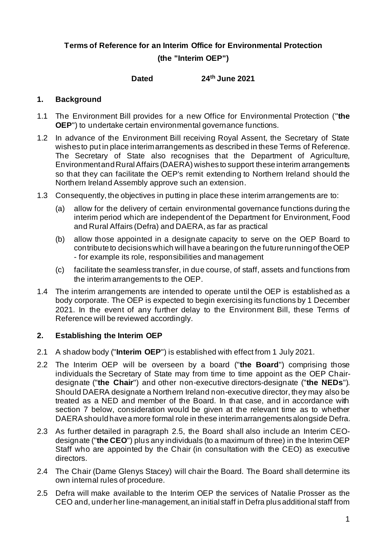# **Terms of Reference for an Interim Office for Environmental Protection (the "Interim OEP")**

### **Dated 24th June 2021**

# **1. Background**

- 1.1 The Environment Bill provides for a new Office for Environmental Protection ("**the OEP**") to undertake certain environmental governance functions.
- 1.2 In advance of the Environment Bill receiving Royal Assent, the Secretary of State wishes to put in place interim arrangements as described in these Terms of Reference. The Secretary of State also recognises that the Department of Agriculture, Environment and Rural Affairs (DAERA) wishes to support these interim arrangements so that they can facilitate the OEP's remit extending to Northern Ireland should the Northern Ireland Assembly approve such an extension.
- 1.3 Consequently, the objectives in putting in place these interim arrangements are to:
	- (a) allow for the delivery of certain environmental governance functions during the interim period which are independent of the Department for Environment, Food and Rural Affairs (Defra) and DAERA, as far as practical
	- (b) allow those appointed in a designate capacity to serve on the OEP Board to contribute to decisions which will have a bearing on the future running of the OEP - for example its role, responsibilities and management
	- (c) facilitate the seamless transfer, in due course, of staff, assets and functions from the interim arrangements to the OEP.
- 1.4 The interim arrangements are intended to operate until the OEP is established as a body corporate. The OEP is expected to begin exercising its functions by 1 December 2021. In the event of any further delay to the Environment Bill, these Terms of Reference will be reviewed accordingly.

# **2. Establishing the Interim OEP**

- 2.1 A shadow body ("**Interim OEP**") is established with effect from 1 July 2021.
- 2.2 The Interim OEP will be overseen by a board ("**the Board**") comprising those individuals the Secretary of State may from time to time appoint as the OEP Chairdesignate ("**the Chair**") and other non-executive directors-designate ("**the NEDs**"). Should DAERA designate a Northern Ireland non-executive director, they may also be treated as a NED and member of the Board. In that case, and in accordance with section 7 below, consideration would be given at the relevant time as to whether DAERA should have a more formal role in these interim arrangements alongside Defra.
- 2.3 As further detailed in paragraph 2.5, the Board shall also include an Interim CEOdesignate ("**the CEO**") plus any individuals (to a maximum of three) in the Interim OEP Staff who are appointed by the Chair (in consultation with the CEO) as executive directors.
- 2.4 The Chair (Dame Glenys Stacey) will chair the Board. The Board shall determine its own internal rules of procedure.
- 2.5 Defra will make available to the Interim OEP the services of Natalie Prosser as the CEO and, under her line-management, an initial staff in Defra plus additional staff from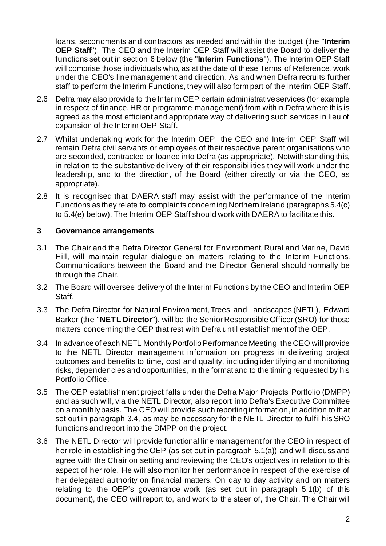loans, secondments and contractors as needed and within the budget (the "**Interim OEP Staff**"). The CEO and the Interim OEP Staff will assist the Board to deliver the functions set out in section 6 below (the "**Interim Functions**"). The Interim OEP Staff will comprise those individuals who, as at the date of these Terms of Reference, work under the CEO's line management and direction. As and when Defra recruits further staff to perform the Interim Functions, they will also form part of the Interim OEP Staff.

- 2.6 Defra may also provide to the Interim OEP certain administrative services (for example in respect of finance, HR or programme management) from within Defra where this is agreed as the most efficient and appropriate way of delivering such services in lieu of expansion of the Interim OEP Staff.
- 2.7 Whilst undertaking work for the Interim OEP, the CEO and Interim OEP Staff will remain Defra civil servants or employees of their respective parent organisations who are seconded, contracted or loaned into Defra (as appropriate). Notwithstanding this, in relation to the substantive delivery of their responsibilities they will work under the leadership, and to the direction, of the Board (either directly or via the CEO, as appropriate).
- 2.8 It is recognised that DAERA staff may assist with the performance of the Interim Functions as they relate to complaints concerning Northern Ireland (paragraphs 5.4(c) to 5.4(e) below). The Interim OEP Staff should work with DAERA to facilitate this.

### **3 Governance arrangements**

- 3.1 The Chair and the Defra Director General for Environment, Rural and Marine, David Hill, will maintain regular dialogue on matters relating to the Interim Functions. Communications between the Board and the Director General should normally be through the Chair.
- 3.2 The Board will oversee delivery of the Interim Functions by the CEO and Interim OEP Staff.
- 3.3 The Defra Director for Natural Environment, Trees and Landscapes (NETL), Edward Barker (the "**NETL Director**"), will be the Senior Responsible Officer (SRO) for those matters concerning the OEP that rest with Defra until establishment of the OEP.
- 3.4 In advance of each NETL Monthly Portfolio Performance Meeting, the CEO will provide to the NETL Director management information on progress in delivering project outcomes and benefits to time, cost and quality, including identifying and monitoring risks, dependencies and opportunities, in the format and to the timing requested by his Portfolio Office.
- 3.5 The OEP establishment project falls under the Defra Major Projects Portfolio (DMPP) and as such will, via the NETL Director, also report into Defra's Executive Committee on a monthly basis. The CEO will provide such reporting information, in addition to that set out in paragraph 3.4, as may be necessary for the NETL Director to fulfil his SRO functions and report into the DMPP on the project.
- 3.6 The NETL Director will provide functional line management for the CEO in respect of her role in establishing the OEP (as set out in paragraph 5.1(a)) and will discuss and agree with the Chair on setting and reviewing the CEO's objectives in relation to this aspect of her role. He will also monitor her performance in respect of the exercise of her delegated authority on financial matters. On day to day activity and on matters relating to the OEP's governance work (as set out in paragraph 5.1(b) of this document), the CEO will report to, and work to the steer of, the Chair. The Chair will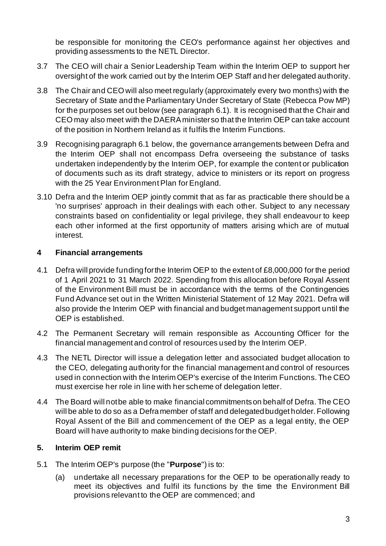be responsible for monitoring the CEO's performance against her objectives and providing assessments to the NETL Director.

- 3.7 The CEO will chair a Senior Leadership Team within the Interim OEP to support her oversight of the work carried out by the Interim OEP Staff and her delegated authority.
- 3.8 The Chair and CEO will also meet regularly (approximately every two months) with the Secretary of State and the Parliamentary Under Secretary of State (Rebecca Pow MP) for the purposes set out below (see paragraph 6.1). It is recognised that the Chair and CEO may also meet with the DAERA minister so that the Interim OEP can take account of the position in Northern Ireland as it fulfils the Interim Functions.
- 3.9 Recognising paragraph 6.1 below, the governance arrangements between Defra and the Interim OEP shall not encompass Defra overseeing the substance of tasks undertaken independently by the Interim OEP, for example the content or publication of documents such as its draft strategy, advice to ministers or its report on progress with the 25 Year Environment Plan for England.
- 3.10 Defra and the Interim OEP jointly commit that as far as practicable there should be a 'no surprises' approach in their dealings with each other. Subject to any necessary constraints based on confidentiality or legal privilege, they shall endeavour to keep each other informed at the first opportunity of matters arising which are of mutual interest.

# **4 Financial arrangements**

- 4.1 Defra will provide funding for the Interim OEP to the extent of £8,000,000 for the period of 1 April 2021 to 31 March 2022. Spending from this allocation before Royal Assent of the Environment Bill must be in accordance with the terms of the Contingencies Fund Advance set out in the Written Ministerial Statement of 12 May 2021. Defra will also provide the Interim OEP with financial and budget management support until the OEP is established.
- 4.2 The Permanent Secretary will remain responsible as Accounting Officer for the financial management and control of resources used by the Interim OEP.
- 4.3 The NETL Director will issue a delegation letter and associated budget allocation to the CEO, delegating authority for the financial management and control of resources used in connection with the Interim OEP's exercise of the Interim Functions. The CEO must exercise her role in line with her scheme of delegation letter.
- 4.4 The Board will not be able to make financial commitments on behalf of Defra. The CEO will be able to do so as a Defra member of staff and delegated budget holder. Following Royal Assent of the Bill and commencement of the OEP as a legal entity, the OEP Board will have authority to make binding decisions for the OEP.

# **5. Interim OEP remit**

- 5.1 The Interim OEP's purpose (the "**Purpose**") is to:
	- (a) undertake all necessary preparations for the OEP to be operationally ready to meet its objectives and fulfil its functions by the time the Environment Bill provisions relevant to the OEP are commenced; and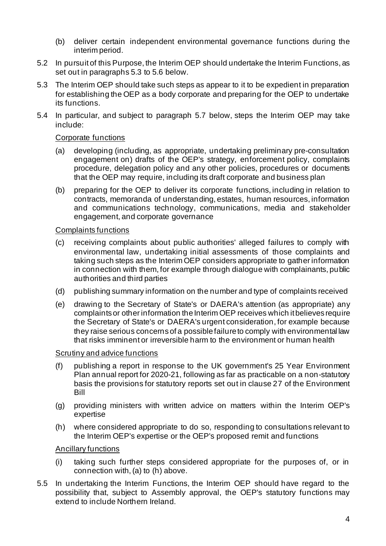- (b) deliver certain independent environmental governance functions during the interim period.
- 5.2 In pursuit of this Purpose, the Interim OEP should undertake the Interim Functions, as set out in paragraphs 5.3 to 5.6 below.
- 5.3 The Interim OEP should take such steps as appear to it to be expedient in preparation for establishing the OEP as a body corporate and preparing for the OEP to undertake its functions.
- 5.4 In particular, and subject to paragraph 5.7 below, steps the Interim OEP may take include:

#### Corporate functions

- (a) developing (including, as appropriate, undertaking preliminary pre-consultation engagement on) drafts of the OEP's strategy, enforcement policy, complaints procedure, delegation policy and any other policies, procedures or documents that the OEP may require, including its draft corporate and business plan
- (b) preparing for the OEP to deliver its corporate functions, including in relation to contracts, memoranda of understanding, estates, human resources, information and communications technology, communications, media and stakeholder engagement, and corporate governance

#### Complaints functions

- (c) receiving complaints about public authorities' alleged failures to comply with environmental law, undertaking initial assessments of those complaints and taking such steps as the Interim OEP considers appropriate to gather information in connection with them, for example through dialogue with complainants, public authorities and third parties
- (d) publishing summary information on the number and type of complaints received
- (e) drawing to the Secretary of State's or DAERA's attention (as appropriate) any complaintsor other information the Interim OEP receives which it believes require the Secretary of State's or DAERA's urgent consideration, for example because they raise serious concerns of a possible failure to comply with environmental law that risks imminent or irreversible harm to the environment or human health

#### Scrutiny and advice functions

- (f) publishing a report in response to the UK government's 25 Year Environment Plan annual report for 2020-21, following as far as practicable on a non-statutory basis the provisions for statutory reports set out in clause 27 of the Environment Bill
- (g) providing ministers with written advice on matters within the Interim OEP's expertise
- (h) where considered appropriate to do so, responding to consultations relevant to the Interim OEP's expertise or the OEP's proposed remit and functions

#### Ancillary functions

- (i) taking such further steps considered appropriate for the purposes of, or in connection with,(a) to (h) above.
- 5.5 In undertaking the Interim Functions, the Interim OEP should have regard to the possibility that, subject to Assembly approval, the OEP's statutory functions may extend to include Northern Ireland.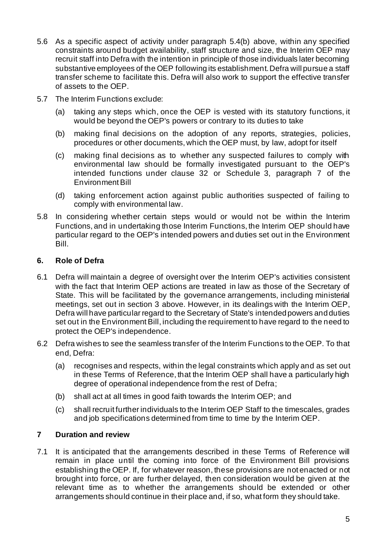- 5.6 As a specific aspect of activity under paragraph 5.4(b) above, within any specified constraints around budget availability, staff structure and size, the Interim OEP may recruit staff into Defra with the intention in principle of those individuals later becoming substantive employees of the OEP following its establishment. Defra will pursue a staff transfer scheme to facilitate this. Defra will also work to support the effective transfer of assets to the OEP.
- 5.7 The Interim Functions exclude:
	- (a) taking any steps which, once the OEP is vested with its statutory functions, it would be beyond the OEP's powers or contrary to its duties to take
	- (b) making final decisions on the adoption of any reports, strategies, policies, procedures or other documents, which the OEP must, by law, adopt for itself
	- (c) making final decisions as to whether any suspected failures to comply with environmental law should be formally investigated pursuant to the OEP's intended functions under clause 32 or Schedule 3, paragraph 7 of the Environment Bill
	- (d) taking enforcement action against public authorities suspected of failing to comply with environmental law.
- 5.8 In considering whether certain steps would or would not be within the Interim Functions, and in undertaking those Interim Functions, the Interim OEP should have particular regard to the OEP's intended powers and duties set out in the Environment Bill.

# **6. Role of Defra**

- 6.1 Defra will maintain a degree of oversight over the Interim OEP's activities consistent with the fact that Interim OEP actions are treated in law as those of the Secretary of State. This will be facilitated by the governance arrangements, including ministerial meetings, set out in section 3 above. However, in its dealings with the Interim OEP, Defra will have particular regard to the Secretary of State's intendedpowers and duties set out in the Environment Bill, including the requirement to have regard to the need to protect the OEP's independence.
- 6.2 Defra wishes to see the seamless transfer of the Interim Functions to the OEP. To that end, Defra:
	- (a) recognises and respects, within the legal constraints which apply and as set out in these Terms of Reference, that the Interim OEP shall have a particularly high degree of operational independence from the rest of Defra;
	- (b) shall act at all times in good faith towards the Interim OEP; and
	- (c) shall recruit further individuals to the Interim OEP Staff to the timescales, grades and job specifications determined from time to time by the Interim OEP.

# **7 Duration and review**

7.1 It is anticipated that the arrangements described in these Terms of Reference will remain in place until the coming into force of the Environment Bill provisions establishing the OEP. If, for whatever reason, these provisions are not enacted or not brought into force, or are further delayed, then consideration would be given at the relevant time as to whether the arrangements should be extended or other arrangements should continue in their place and, if so, what form they should take.